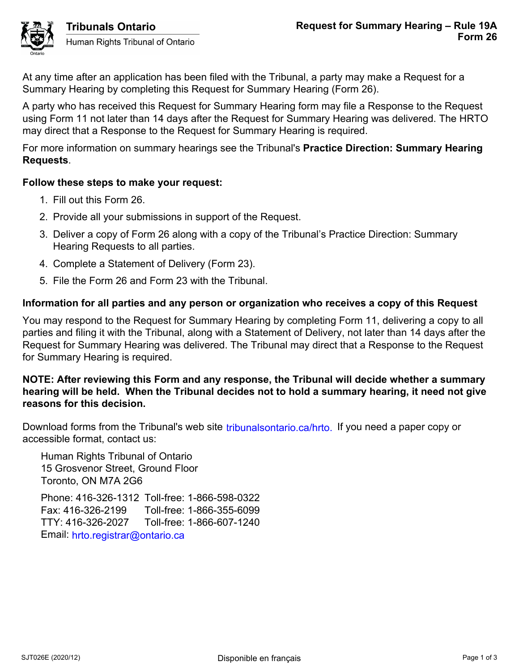

Tribunals Ontario Human Rights Tribunal of Ontario

At any time after an application has been filed with the Tribunal, a party may make a Request for a Summary Hearing by completing this Request for Summary Hearing (Form 26).

A party who has received this Request for Summary Hearing form may file a Response to the Request using Form 11 not later than 14 days after the Request for Summary Hearing was delivered. The HRTO may direct that a Response to the Request for Summary Hearing is required.

For more information on summary hearings see the Tribunal's **Practice Direction: Summary Hearing Requests**.

# **Follow these steps to make your request:**

- 1. Fill out this Form 26.
- 2. Provide all your submissions in support of the Request.
- 3. Deliver a copy of Form 26 along with a copy of the Tribunal's Practice Direction: Summary Hearing Requests to all parties.
- 4. Complete a Statement of Delivery (Form 23).
- 5. File the Form 26 and Form 23 with the Tribunal.

# **Information for all parties and any person or organization who receives a copy of this Request**

You may respond to the Request for Summary Hearing by completing Form 11, delivering a copy to all parties and filing it with the Tribunal, along with a Statement of Delivery, not later than 14 days after the Request for Summary Hearing was delivered. The Tribunal may direct that a Response to the Request for Summary Hearing is required.

# **NOTE: After reviewing this Form and any response, the Tribunal will decide whether a summary hearing will be held. When the Tribunal decides not to hold a summary hearing, it need not give reasons for this decision.**

Download forms from the Tribunal's web site tribunalsontario.ca/hrto. If you need a paper copy or accessible format, contact us:

Human Rights Tribunal of Ontario 15 Grosvenor Street, Ground Floor Toronto, ON M7A 2G6

Phone: 416-326-1312 Toll-free: 1-866-598-0322 Fax: 416-326-2199 Toll-free: 1-866-355-6099 TTY: 416-326-2027 Toll-free: 1-866-607-1240 Email: hrto.registrar@ontario.ca forms from the Tribunal's web site tribunalsontario.ca/hrto. If you need a paper copy or<br>
Format, contact us:<br>
Rights Tribunal of Ontario<br>
syenor Street, Ground Floor<br>
9. ON M7A 2G6<br>
6.326-21929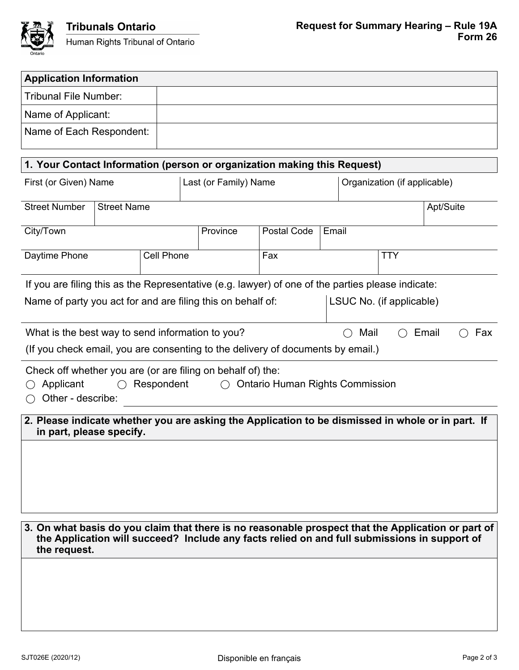

| <b>Application Information</b>                                                                                                                                   |                    |                   |                       |           |                                        |       |                              |                          |           |     |
|------------------------------------------------------------------------------------------------------------------------------------------------------------------|--------------------|-------------------|-----------------------|-----------|----------------------------------------|-------|------------------------------|--------------------------|-----------|-----|
| <b>Tribunal File Number:</b>                                                                                                                                     |                    |                   |                       |           |                                        |       |                              |                          |           |     |
| Name of Applicant:                                                                                                                                               |                    |                   |                       |           |                                        |       |                              |                          |           |     |
| Name of Each Respondent:                                                                                                                                         |                    |                   |                       |           |                                        |       |                              |                          |           |     |
| 1. Your Contact Information (person or organization making this Request)                                                                                         |                    |                   |                       |           |                                        |       |                              |                          |           |     |
| First (or Given) Name                                                                                                                                            |                    |                   | Last (or Family) Name |           |                                        |       | Organization (if applicable) |                          |           |     |
| <b>Street Number</b>                                                                                                                                             | <b>Street Name</b> |                   |                       |           |                                        |       |                              |                          | Apt/Suite |     |
| City/Town                                                                                                                                                        |                    |                   |                       | Province  | <b>Postal Code</b>                     | Email |                              |                          |           |     |
| Daytime Phone                                                                                                                                                    |                    | <b>Cell Phone</b> |                       |           | Fax                                    |       |                              | <b>TTY</b>               |           |     |
| If you are filing this as the Representative (e.g. lawyer) of one of the parties please indicate:<br>Name of party you act for and are filing this on behalf of: |                    |                   |                       |           |                                        |       |                              | LSUC No. (if applicable) |           |     |
|                                                                                                                                                                  |                    |                   |                       |           |                                        |       |                              |                          |           |     |
| What is the best way to send information to you?<br>(If you check email, you are consenting to the delivery of documents by email.)                              |                    |                   |                       |           |                                        |       | Mail                         |                          | Email     | Fax |
| Check off whether you are (or are filing on behalf of) the:<br>Applicant<br>Other - describe:                                                                    | $\bigcirc$         | Respondent        |                       | $\bigcap$ | <b>Ontario Human Rights Commission</b> |       |                              |                          |           |     |
| 2. Please indicate whether you are asking the Application to be dismissed in whole or in part. If<br>in part, please specify.                                    |                    |                   |                       |           |                                        |       |                              |                          |           |     |